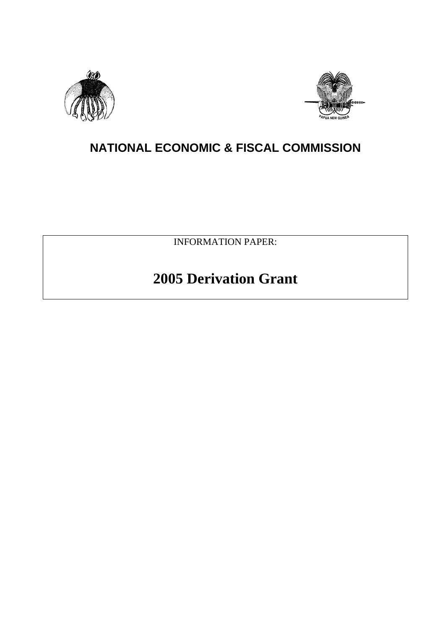



# **NATIONAL ECONOMIC & FISCAL COMMISSION**

INFORMATION PAPER:

# **2005 Derivation Grant**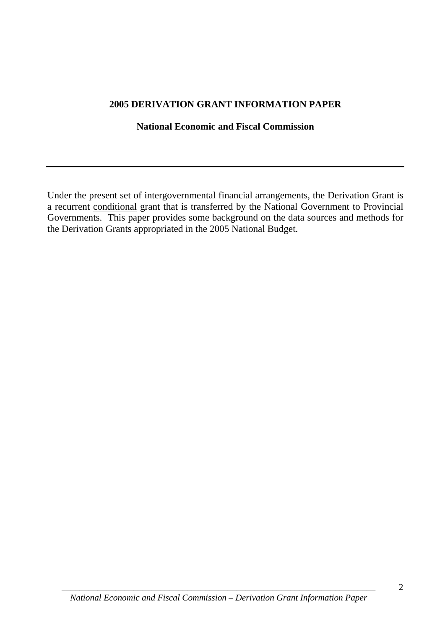#### **2005 DERIVATION GRANT INFORMATION PAPER**

#### **National Economic and Fiscal Commission**

Under the present set of intergovernmental financial arrangements, the Derivation Grant is a recurrent conditional grant that is transferred by the National Government to Provincial Governments. This paper provides some background on the data sources and methods for the Derivation Grants appropriated in the 2005 National Budget.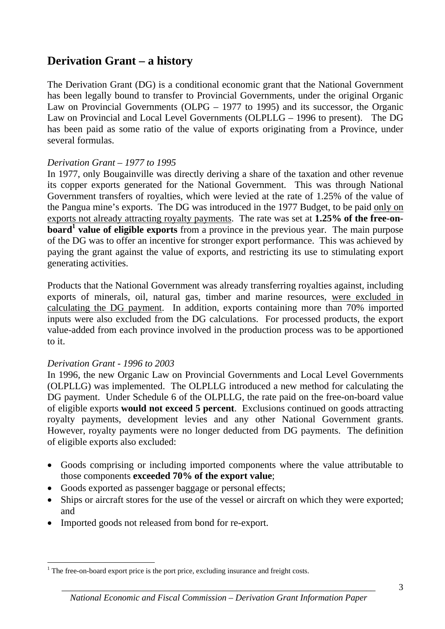### **Derivation Grant – a history**

The Derivation Grant (DG) is a conditional economic grant that the National Government has been legally bound to transfer to Provincial Governments, under the original Organic Law on Provincial Governments (OLPG – 1977 to 1995) and its successor, the Organic Law on Provincial and Local Level Governments (OLPLLG – 1996 to present). The DG has been paid as some ratio of the value of exports originating from a Province, under several formulas.

#### *Derivation Grant – 1977 to 1995*

In 1977, only Bougainville was directly deriving a share of the taxation and other revenue its copper exports generated for the National Government. This was through National Government transfers of royalties, which were levied at the rate of 1.25% of the value of the Pangua mine's exports. The DG was introduced in the 1977 Budget, to be paid only on exports not already attracting royalty payments. The rate was set at **1.25% of the free-onboard<sup>1</sup>** value of eligible exports from a province in the previous year. The main purpose of the DG was to offer an incentive for stronger export performance. This was achieved by paying the grant against the value of exports, and restricting its use to stimulating export generating activities.

Products that the National Government was already transferring royalties against, including exports of minerals, oil, natural gas, timber and marine resources, were excluded in calculating the DG payment. In addition, exports containing more than 70% imported inputs were also excluded from the DG calculations. For processed products, the export value-added from each province involved in the production process was to be apportioned to it.

#### *Derivation Grant - 1996 to 2003*

1

In 1996, the new Organic Law on Provincial Governments and Local Level Governments (OLPLLG) was implemented. The OLPLLG introduced a new method for calculating the DG payment. Under Schedule 6 of the OLPLLG, the rate paid on the free-on-board value of eligible exports **would not exceed 5 percent**. Exclusions continued on goods attracting royalty payments, development levies and any other National Government grants. However, royalty payments were no longer deducted from DG payments. The definition of eligible exports also excluded:

- Goods comprising or including imported components where the value attributable to those components **exceeded 70% of the export value**;
- Goods exported as passenger baggage or personal effects;
- Ships or aircraft stores for the use of the vessel or aircraft on which they were exported; and
- Imported goods not released from bond for re-export.

<sup>&</sup>lt;sup>1</sup> The free-on-board export price is the port price, excluding insurance and freight costs.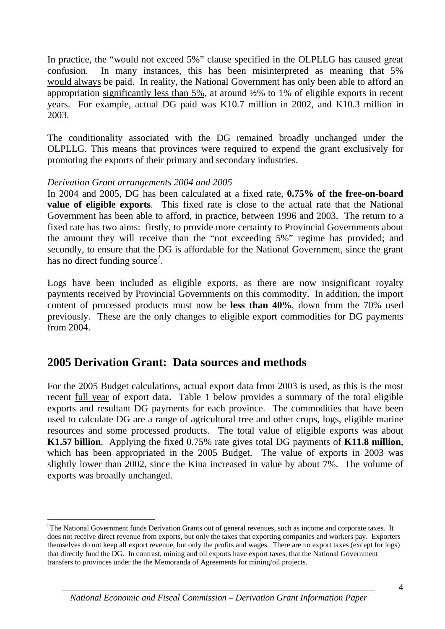In practice, the "would not exceed 5%" clause specified in the OLPLLG has caused great confusion. In many instances, this has been misinterpreted as meaning that 5% would always be paid. In reality, the National Government has only been able to afford an appropriation significantly less than  $5\%$ , at around  $\frac{1}{2}\%$  to 1% of eligible exports in recent years. For example, actual DG paid was K10.7 million in 2002, and K10.3 million in 2003.

The conditionality associated with the DG remained broadly unchanged under the OLPLLG. This means that provinces were required to expend the grant exclusively for promoting the exports of their primary and secondary industries.

#### *Derivation Grant arrangements 2004 and 2005*

1

In 2004 and 2005, DG has been calculated at a fixed rate, **0.75% of the free-on-board value of eligible exports**. This fixed rate is close to the actual rate that the National Government has been able to afford, in practice, between 1996 and 2003. The return to a fixed rate has two aims: firstly, to provide more certainty to Provincial Governments about the amount they will receive than the "not exceeding 5%" regime has provided; and secondly, to ensure that the DG is affordable for the National Government, since the grant has no direct funding source<sup>2</sup>.

Logs have been included as eligible exports, as there are now insignificant royalty payments received by Provincial Governments on this commodity. In addition, the import content of processed products must now be **less than 40%**, down from the 70% used previously. These are the only changes to eligible export commodities for DG payments from 2004.

#### **2005 Derivation Grant: Data sources and methods**

For the 2005 Budget calculations, actual export data from 2003 is used, as this is the most recent full year of export data. Table 1 below provides a summary of the total eligible exports and resultant DG payments for each province. The commodities that have been used to calculate DG are a range of agricultural tree and other crops, logs, eligible marine resources and some processed products. The total value of eligible exports was about **K1.57 billion**. Applying the fixed 0.75% rate gives total DG payments of **K11.8 million**, which has been appropriated in the 2005 Budget. The value of exports in 2003 was slightly lower than 2002, since the Kina increased in value by about 7%. The volume of exports was broadly unchanged.

<sup>&</sup>lt;sup>2</sup>The National Government funds Derivation Grants out of general revenues, such as income and corporate taxes. It does not receive direct revenue from exports, but only the taxes that exporting companies and workers pay. Exporters themselves do not keep all export revenue, but only the profits and wages. There are no export taxes (except for logs) that directly fund the DG. In contrast, mining and oil exports have export taxes, that the National Government transfers to provinces under the the Memoranda of Agreements for mining/oil projects.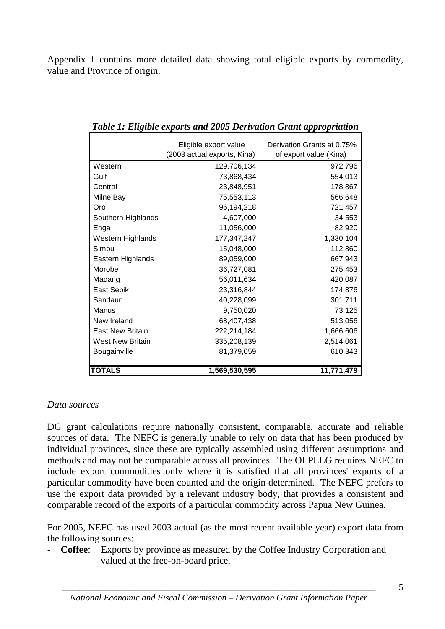Appendix 1 contains more detailed data showing total eligible exports by commodity, value and Province of origin.

|                         | Eligible export value<br>(2003 actual exports, Kina) | Derivation Grants at 0.75%<br>of export value (Kina) |
|-------------------------|------------------------------------------------------|------------------------------------------------------|
| Western                 | 129,706,134                                          | 972,796                                              |
| Gulf                    | 73,868,434                                           | 554,013                                              |
| Central                 | 23,848,951                                           | 178,867                                              |
| Milne Bay               | 75,553,113                                           | 566,648                                              |
| Oro                     | 96,194,218                                           | 721,457                                              |
| Southern Highlands      | 4,607,000                                            | 34,553                                               |
| Enga                    | 11,056,000                                           | 82,920                                               |
| Western Highlands       | 177,347,247                                          | 1,330,104                                            |
| Simbu                   | 15,048,000                                           | 112,860                                              |
| Eastern Highlands       | 89,059,000                                           | 667,943                                              |
| Morobe                  | 36,727,081                                           | 275,453                                              |
| Madang                  | 56,011,634                                           | 420,087                                              |
| East Sepik              | 23,316,844                                           | 174,876                                              |
| Sandaun                 | 40,228,099                                           | 301,711                                              |
| Manus                   | 9,750,020                                            | 73,125                                               |
| New Ireland             | 68,407,438                                           | 513,056                                              |
| <b>East New Britain</b> | 222,214,184                                          | 1,666,606                                            |
| <b>West New Britain</b> | 335,208,139                                          | 2,514,061                                            |
| Bougainville            | 81,379,059                                           | 610,343                                              |
|                         |                                                      |                                                      |
| <b>TOTALS</b>           | 1,569,530,595                                        | 11,771,479                                           |

*Table 1: Eligible exports and 2005 Derivation Grant appropriation* 

#### *Data sources*

DG grant calculations require nationally consistent, comparable, accurate and reliable sources of data. The NEFC is generally unable to rely on data that has been produced by individual provinces, since these are typically assembled using different assumptions and methods and may not be comparable across all provinces. The OLPLLG requires NEFC to include export commodities only where it is satisfied that all provinces' exports of a particular commodity have been counted and the origin determined. The NEFC prefers to use the export data provided by a relevant industry body, that provides a consistent and comparable record of the exports of a particular commodity across Papua New Guinea.

For 2005, NEFC has used 2003 actual (as the most recent available year) export data from the following sources:

- **Coffee**: Exports by province as measured by the Coffee Industry Corporation and valued at the free-on-board price.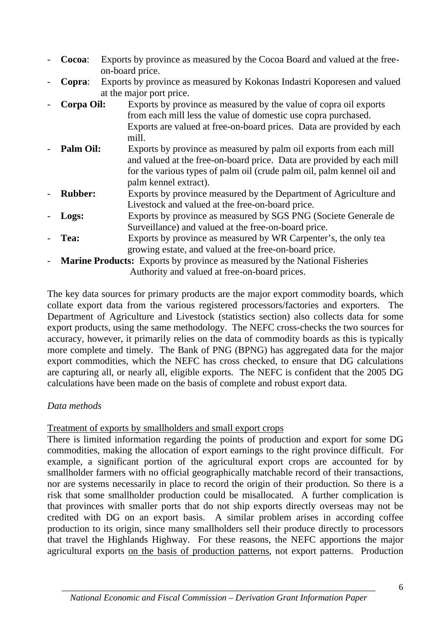- **Cocoa:** Exports by province as measured by the Cocoa Board and valued at the freeon-board price.
- **Copra**: Exports by province as measured by Kokonas Indastri Koporesen and valued at the major port price.
- **Corpa Oil:** Exports by province as measured by the value of copra oil exports from each mill less the value of domestic use copra purchased. Exports are valued at free-on-board prices. Data are provided by each mill.
- **Palm Oil:** Exports by province as measured by palm oil exports from each mill and valued at the free-on-board price. Data are provided by each mill for the various types of palm oil (crude palm oil, palm kennel oil and palm kennel extract).
- **Rubber:** Exports by province measured by the Department of Agriculture and Livestock and valued at the free-on-board price.
- **Logs:** Exports by province as measured by SGS PNG (Societe Generale de Surveillance) and valued at the free-on-board price.
- **Tea:** Exports by province as measured by WR Carpenter's, the only tea growing estate, and valued at the free-on-board price.
- **Marine Products:** Exports by province as measured by the National Fisheries Authority and valued at free-on-board prices.

The key data sources for primary products are the major export commodity boards, which collate export data from the various registered processors/factories and exporters. The Department of Agriculture and Livestock (statistics section) also collects data for some export products, using the same methodology. The NEFC cross-checks the two sources for accuracy, however, it primarily relies on the data of commodity boards as this is typically more complete and timely. The Bank of PNG (BPNG) has aggregated data for the major export commodities, which the NEFC has cross checked, to ensure that DG calculations are capturing all, or nearly all, eligible exports. The NEFC is confident that the 2005 DG calculations have been made on the basis of complete and robust export data.

#### *Data methods*

Treatment of exports by smallholders and small export crops

There is limited information regarding the points of production and export for some DG commodities, making the allocation of export earnings to the right province difficult. For example, a significant portion of the agricultural export crops are accounted for by smallholder farmers with no official geographically matchable record of their transactions, nor are systems necessarily in place to record the origin of their production. So there is a risk that some smallholder production could be misallocated. A further complication is that provinces with smaller ports that do not ship exports directly overseas may not be credited with DG on an export basis. A similar problem arises in according coffee production to its origin, since many smallholders sell their produce directly to processors that travel the Highlands Highway. For these reasons, the NEFC apportions the major agricultural exports on the basis of production patterns, not export patterns. Production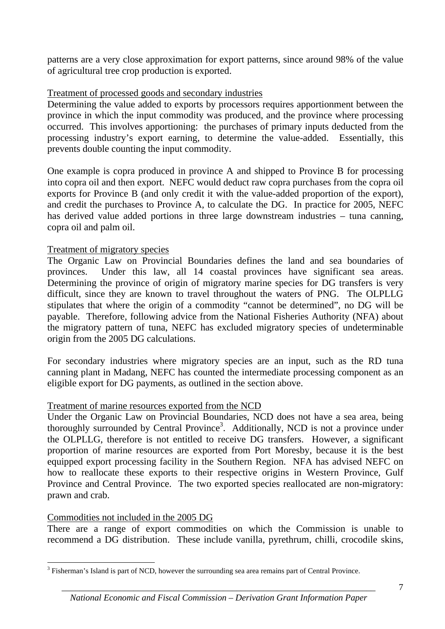patterns are a very close approximation for export patterns, since around 98% of the value of agricultural tree crop production is exported.

#### Treatment of processed goods and secondary industries

Determining the value added to exports by processors requires apportionment between the province in which the input commodity was produced, and the province where processing occurred. This involves apportioning: the purchases of primary inputs deducted from the processing industry's export earning, to determine the value-added. Essentially, this prevents double counting the input commodity.

One example is copra produced in province A and shipped to Province B for processing into copra oil and then export. NEFC would deduct raw copra purchases from the copra oil exports for Province B (and only credit it with the value-added proportion of the export), and credit the purchases to Province A, to calculate the DG. In practice for 2005, NEFC has derived value added portions in three large downstream industries – tuna canning, copra oil and palm oil.

#### Treatment of migratory species

The Organic Law on Provincial Boundaries defines the land and sea boundaries of provinces. Under this law, all 14 coastal provinces have significant sea areas. Determining the province of origin of migratory marine species for DG transfers is very difficult, since they are known to travel throughout the waters of PNG. The OLPLLG stipulates that where the origin of a commodity "cannot be determined", no DG will be payable. Therefore, following advice from the National Fisheries Authority (NFA) about the migratory pattern of tuna, NEFC has excluded migratory species of undeterminable origin from the 2005 DG calculations.

For secondary industries where migratory species are an input, such as the RD tuna canning plant in Madang, NEFC has counted the intermediate processing component as an eligible export for DG payments, as outlined in the section above.

#### Treatment of marine resources exported from the NCD

Under the Organic Law on Provincial Boundaries, NCD does not have a sea area, being thoroughly surrounded by Central Province<sup>3</sup>. Additionally, NCD is not a province under the OLPLLG, therefore is not entitled to receive DG transfers. However, a significant proportion of marine resources are exported from Port Moresby, because it is the best equipped export processing facility in the Southern Region. NFA has advised NEFC on how to reallocate these exports to their respective origins in Western Province, Gulf Province and Central Province. The two exported species reallocated are non-migratory: prawn and crab.

#### Commodities not included in the 2005 DG

There are a range of export commodities on which the Commission is unable to recommend a DG distribution. These include vanilla, pyrethrum, chilli, crocodile skins,

<sup>&</sup>lt;sup>3</sup> Fisherman's Island is part of NCD, however the surrounding sea area remains part of Central Province.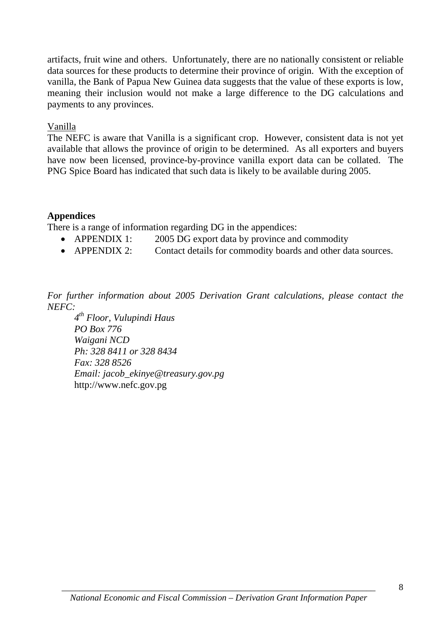artifacts, fruit wine and others. Unfortunately, there are no nationally consistent or reliable data sources for these products to determine their province of origin. With the exception of vanilla, the Bank of Papua New Guinea data suggests that the value of these exports is low, meaning their inclusion would not make a large difference to the DG calculations and payments to any provinces.

#### Vanilla

The NEFC is aware that Vanilla is a significant crop. However, consistent data is not yet available that allows the province of origin to be determined. As all exporters and buyers have now been licensed, province-by-province vanilla export data can be collated. The PNG Spice Board has indicated that such data is likely to be available during 2005.

#### **Appendices**

There is a range of information regarding DG in the appendices:

- APPENDIX 1: 2005 DG export data by province and commodity
- APPENDIX 2: Contact details for commodity boards and other data sources.

*For further information about 2005 Derivation Grant calculations, please contact the NEFC:* 

 *4th Floor, Vulupindi Haus PO Box 776 Waigani NCD Ph: 328 8411 or 328 8434 Fax: 328 8526 Email: jacob\_ekinye@treasury.gov.pg*  http://www.nefc.gov.pg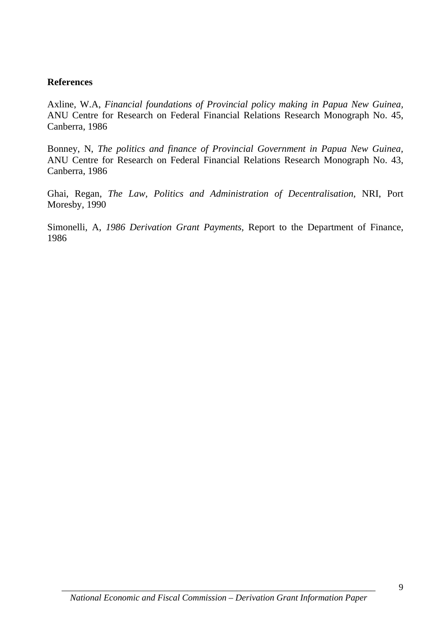#### **References**

Axline, W.A, *Financial foundations of Provincial policy making in Papua New Guinea,*  ANU Centre for Research on Federal Financial Relations Research Monograph No. 45, Canberra, 1986

Bonney, N, *The politics and finance of Provincial Government in Papua New Guinea,*  ANU Centre for Research on Federal Financial Relations Research Monograph No. 43, Canberra, 1986

Ghai, Regan, *The Law, Politics and Administration of Decentralisation,* NRI, Port Moresby, 1990

Simonelli, A, *1986 Derivation Grant Payments,* Report to the Department of Finance, 1986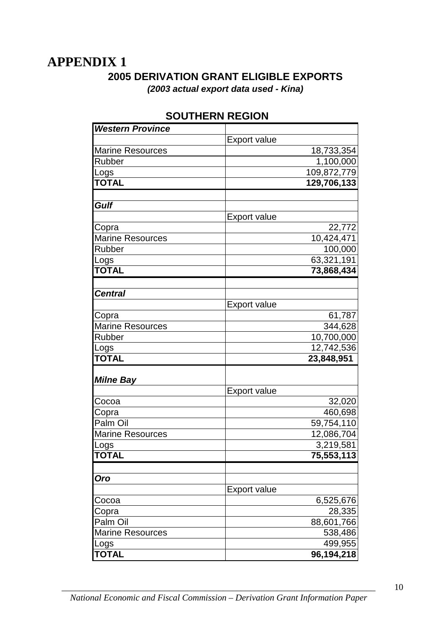### **APPENDIX 1**

#### **2005 DERIVATION GRANT ELIGIBLE EXPORTS**  *(2003 actual export data used - Kina)*

Export value Marine Resources and the state of the 18,733,354 Rubber 1,100,000 Logs 109,872,779 **TOTAL 129,706,133** Export value Copra 22,772 Marine Resources and the contract of the 10,424,471 Rubber 100,000 Logs 63,321,191 **TOTAL 73,868,434** Export value Copra 61,787 Marine Resources and the state of the 344,628 Rubber 10,700,000 Logs 12,742,536 **TOTAL 23,848,951**  Export value Cocoa 32,020 Copra 460,698 Palm Oil 59.754,110 Marine Resources and the contract of the 12,086,704  $\log$ s  $\log$  3,219,581 **TOTAL 75,553,113** Export value Cocoa **6,525,676** Copra 28,335 *Western Province Gulf Central Milne Bay Oro*

#### **SOUTHERN REGION**

*\_\_\_\_\_\_\_\_\_\_\_\_\_\_\_\_\_\_\_\_\_\_\_\_\_\_\_\_\_\_\_\_\_\_\_\_\_\_\_\_\_\_\_\_\_\_\_\_\_\_\_\_\_\_\_\_\_\_\_\_\_\_\_\_\_\_\_\_\_\_ National Economic and Fiscal Commission – Derivation Grant Information Paper* 

Palm Oil 88,601,766 Marine Resources and the state of the 538,486 Logs 499,955 **TOTAL 96,194,218**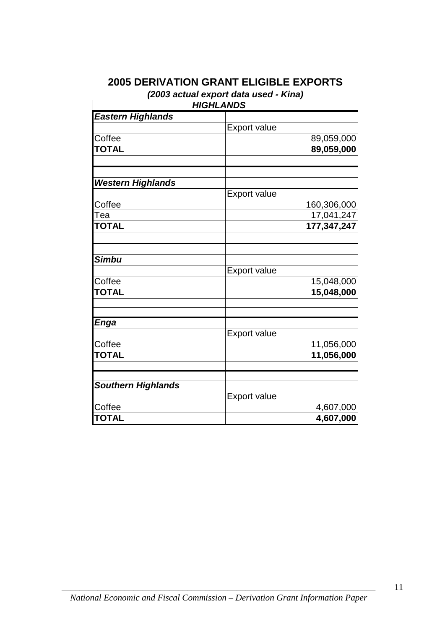#### **2005 DERIVATION GRANT ELIGIBLE EXPORTS**

*(2003 actual export data used - Kina)* 

| <b>HIGHLANDS</b>          |                     |  |  |  |
|---------------------------|---------------------|--|--|--|
| <b>Eastern Highlands</b>  |                     |  |  |  |
|                           | <b>Export value</b> |  |  |  |
| Coffee                    | 89,059,000          |  |  |  |
| <b>TOTAL</b>              | 89,059,000          |  |  |  |
| <b>Western Highlands</b>  |                     |  |  |  |
|                           | <b>Export value</b> |  |  |  |
| Coffee                    | 160,306,000         |  |  |  |
| Tea                       | 17,041,247          |  |  |  |
| <b>TOTAL</b>              | 177,347,247         |  |  |  |
| <b>Simbu</b>              |                     |  |  |  |
|                           | <b>Export value</b> |  |  |  |
| Coffee                    | 15,048,000          |  |  |  |
| <b>TOTAL</b>              | 15,048,000          |  |  |  |
| <b>Enga</b>               |                     |  |  |  |
|                           | <b>Export value</b> |  |  |  |
| Coffee                    | 11,056,000          |  |  |  |
| <b>TOTAL</b>              | 11,056,000          |  |  |  |
| <b>Southern Highlands</b> |                     |  |  |  |
|                           | <b>Export value</b> |  |  |  |
| Coffee                    | 4,607,000           |  |  |  |
| <b>TOTAL</b>              | 4,607,000           |  |  |  |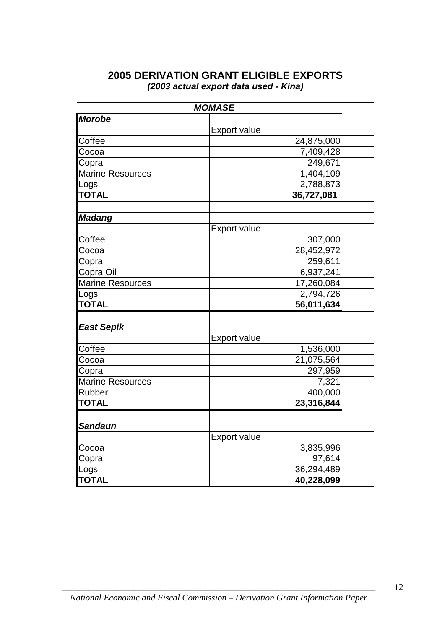#### **2005 DERIVATION GRANT ELIGIBLE EXPORTS** *(2003 actual export data used - Kina)*

| <b>MOMASE</b>           |                     |  |  |
|-------------------------|---------------------|--|--|
| <b>Morobe</b>           |                     |  |  |
|                         | <b>Export value</b> |  |  |
| Coffee                  | 24,875,000          |  |  |
| Cocoa                   | 7,409,428           |  |  |
| Copra                   | 249,671             |  |  |
| <b>Marine Resources</b> | 1,404,109           |  |  |
| Logs                    | 2,788,873           |  |  |
| <b>TOTAL</b>            | 36,727,081          |  |  |
|                         |                     |  |  |
| <b>Madang</b>           |                     |  |  |
|                         | <b>Export value</b> |  |  |
| Coffee                  | 307,000             |  |  |
| Cocoa                   | 28,452,972          |  |  |
| Copra                   | 259,611             |  |  |
| Copra Oil               | 6,937,241           |  |  |
| <b>Marine Resources</b> | 17,260,084          |  |  |
| Logs                    | 2,794,726           |  |  |
| <b>TOTAL</b>            | 56,011,634          |  |  |
|                         |                     |  |  |
| <b>East Sepik</b>       |                     |  |  |
|                         | <b>Export value</b> |  |  |
| Coffee                  | 1,536,000           |  |  |
| Cocoa                   | 21,075,564          |  |  |
| Copra                   | 297,959             |  |  |
| <b>Marine Resources</b> | 7,321               |  |  |
| Rubber                  | 400,000             |  |  |
| <b>TOTAL</b>            | 23,316,844          |  |  |
|                         |                     |  |  |
| <b>Sandaun</b>          |                     |  |  |
|                         | <b>Export value</b> |  |  |
| Cocoa                   | 3,835,996           |  |  |
| Copra                   | 97,614              |  |  |
| Logs                    | 36,294,489          |  |  |
| <b>TOTAL</b>            | 40,228,099          |  |  |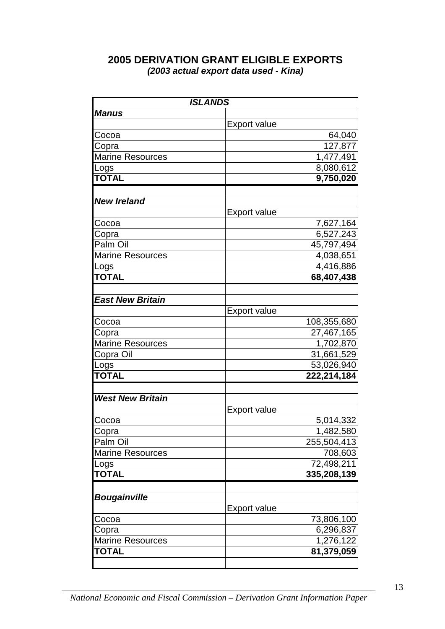#### **2005 DERIVATION GRANT ELIGIBLE EXPORTS** *(2003 actual export data used - Kina)*

| <b>ISLANDS</b>          |                     |             |  |  |
|-------------------------|---------------------|-------------|--|--|
| <b>Manus</b>            |                     |             |  |  |
|                         | <b>Export value</b> |             |  |  |
| Cocoa                   |                     | 64,040      |  |  |
| Copra                   |                     | 127,877     |  |  |
| <b>Marine Resources</b> |                     | 1,477,491   |  |  |
| Logs                    |                     | 8,080,612   |  |  |
| <b>TOTAL</b>            |                     | 9,750,020   |  |  |
|                         |                     |             |  |  |
| <b>New Ireland</b>      |                     |             |  |  |
|                         | <b>Export value</b> |             |  |  |
| Cocoa                   |                     | 7,627,164   |  |  |
| Copra                   |                     | 6,527,243   |  |  |
| Palm Oil                |                     | 45,797,494  |  |  |
| <b>Marine Resources</b> |                     | 4,038,651   |  |  |
| Logs                    |                     | 4,416,886   |  |  |
| <b>TOTAL</b>            |                     | 68,407,438  |  |  |
|                         |                     |             |  |  |
| <b>East New Britain</b> |                     |             |  |  |
|                         | <b>Export value</b> |             |  |  |
| Cocoa                   |                     | 108,355,680 |  |  |
| Copra                   |                     | 27,467,165  |  |  |
| <b>Marine Resources</b> |                     | 1,702,870   |  |  |
| Copra Oil               |                     | 31,661,529  |  |  |
| Logs                    |                     | 53,026,940  |  |  |
| <b>TOTAL</b>            |                     | 222,214,184 |  |  |
|                         |                     |             |  |  |
| <b>West New Britain</b> |                     |             |  |  |
|                         | <b>Export value</b> |             |  |  |
| Cocoa                   |                     | 5,014,332   |  |  |
| Copra                   |                     | 1,482,580   |  |  |
| Palm Oil                |                     | 255,504,413 |  |  |
| <b>Marine Resources</b> |                     | 708,603     |  |  |
| Logs                    |                     | 72,498,211  |  |  |
| <b>TOTAL</b>            |                     | 335,208,139 |  |  |
|                         |                     |             |  |  |
| <b>Bougainville</b>     |                     |             |  |  |
|                         | <b>Export value</b> |             |  |  |
| Cocoa                   |                     | 73,806,100  |  |  |
| Copra                   |                     | 6,296,837   |  |  |
| <b>Marine Resources</b> |                     | 1,276,122   |  |  |
| TOTAL                   |                     | 81,379,059  |  |  |
|                         |                     |             |  |  |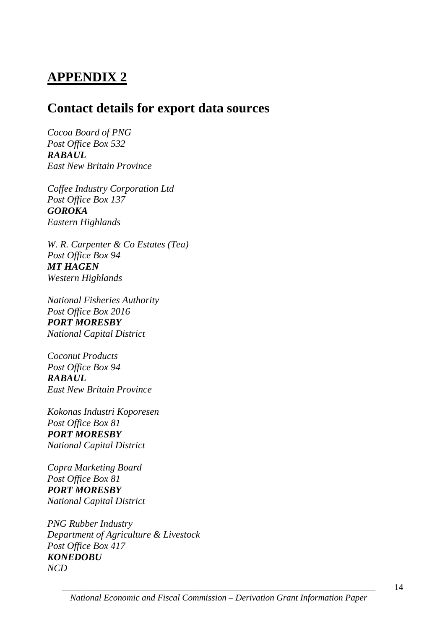# **APPENDIX 2**

### **Contact details for export data sources**

*Cocoa Board of PNG Post Office Box 532 RABAUL East New Britain Province* 

*Coffee Industry Corporation Ltd Post Office Box 137 GOROKA Eastern Highlands* 

*W. R. Carpenter & Co Estates (Tea) Post Office Box 94 MT HAGEN Western Highlands* 

*National Fisheries Authority Post Office Box 2016 PORT MORESBY National Capital District* 

*Coconut Products Post Office Box 94 RABAUL East New Britain Province* 

*Kokonas Industri Koporesen Post Office Box 81 PORT MORESBY National Capital District* 

*Copra Marketing Board Post Office Box 81 PORT MORESBY National Capital District* 

*PNG Rubber Industry Department of Agriculture & Livestock Post Office Box 417 KONEDOBU NCD*